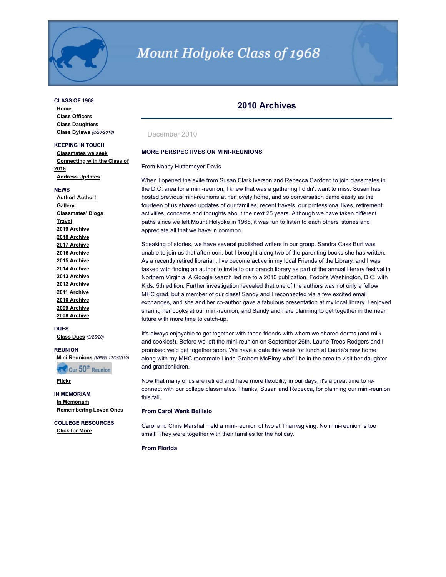

# **Mount Holyoke Class of 1968**

## **CLASS OF 1968**

**[Home](http://www.mhc1968.com/index.asp) [Class Officers](http://www.mhc1968.com/officers.asp) [Class Daughters](http://www.mhc1968.com/daughters.asp) [Class Bylaws](http://www.mhc1968.com/Bylaws.asp)** *(8/20/2018)*

# **KEEPING IN TOUCH**

**[Classmates we seek](http://www.mhc1968.com/lostclassmates.asp) [Connecting with the Class of](http://www.mhc1968.com/sisters.asp) 2018 [Address Updates](http://www.mhc1968.com/updates.asp)**

#### **NEWS**

**[Author! Author!](http://www.mhc1968.com/author.asp) [Gallery](http://www.mhc1968.com/gallery/gallery.asp) [Classmates' Blogs](http://www.mhc1968.com/blog.asp)  [Travel](http://www.mhc1968.com/travel.asp) [2019 Archive](http://www.mhc1968.com/archive2019.asp) [2018 Archive](http://www.mhc1968.com/archive2018.asp) [2017 Archive](http://www.mhc1968.com/archive2017.asp) [2016 Archive](http://www.mhc1968.com/archive2016.asp) [2015 Archive](http://www.mhc1968.com/archive2015.asp) [2014 Archive](http://www.mhc1968.com/archive2014.asp) [2013 Archive](http://www.mhc1968.com/archive2013.asp) [2012 Archive](http://www.mhc1968.com/archive2012.asp) [2011 Archive](http://www.mhc1968.com/archive2011.asp) [2010 Archive](http://www.mhc1968.com/archive2010.asp) [2009 Archive](http://www.mhc1968.com/archive2009.asp) [2008 Archive](http://www.mhc1968.com/archive2008.asp)**

#### **DUES**

**[Class Dues](http://www.mhc1968.com/dues.asp)** *(3/25/20)*

#### **REUNION**

**[Mini Reunions](http://www.mhc1968.com/MiniReunions.asp)** *(NEW! 12/9/2019)*

**RECOUR 50th Reunion** 

**[Flickr](https://www.flickr.com/photos/162666628@N03/)**

# **IN MEMORIAM**

**[In Memoriam](http://www.mhc1968.com/memoriam.asp) [Remembering Loved Ones](http://www.mhc1968.com/remember.asp)**

**COLLEGE RESOURCES [Click for More](http://www.mhc1968.com/resources.asp)**

# **2010 Archives**

# December 2010

#### **MORE PERSPECTIVES ON MINI-REUNIONS**

#### From Nancy Huttemeyer Davis

When I opened the evite from Susan Clark Iverson and Rebecca Cardozo to join classmates in the D.C. area for a mini-reunion, I knew that was a gathering I didn't want to miss. Susan has hosted previous mini-reunions at her lovely home, and so conversation came easily as the fourteen of us shared updates of our families, recent travels, our professional lives, retirement activities, concerns and thoughts about the next 25 years. Although we have taken different paths since we left Mount Holyoke in 1968, it was fun to listen to each others' stories and appreciate all that we have in common.

Speaking of stories, we have several published writers in our group. Sandra Cass Burt was unable to join us that afternoon, but I brought along two of the parenting books she has written. As a recently retired librarian, I've become active in my local Friends of the Library, and I was tasked with finding an author to invite to our branch library as part of the annual literary festival in Northern Virginia. A Google search led me to a 2010 publication, Fodor's Washington, D.C. with Kids, 5th edition. Further investigation revealed that one of the authors was not only a fellow MHC grad, but a member of our class! Sandy and I reconnected via a few excited email exchanges, and she and her co-author gave a fabulous presentation at my local library. I enjoyed sharing her books at our mini-reunion, and Sandy and I are planning to get together in the near future with more time to catch-up.

It's always enjoyable to get together with those friends with whom we shared dorms (and milk and cookies!). Before we left the mini-reunion on September 26th, Laurie Trees Rodgers and I promised we'd get together soon. We have a date this week for lunch at Laurie's new home along with my MHC roommate Linda Graham McElroy who'll be in the area to visit her daughter and grandchildren.

Now that many of us are retired and have more flexibility in our days, it's a great time to reconnect with our college classmates. Thanks, Susan and Rebecca, for planning our mini-reunion this fall.

#### **From Carol Wenk Bellisio**

Carol and Chris Marshall held a mini-reunion of two at Thanksgiving. No mini-reunion is too small! They were together with their families for the holiday.

### **From Florida**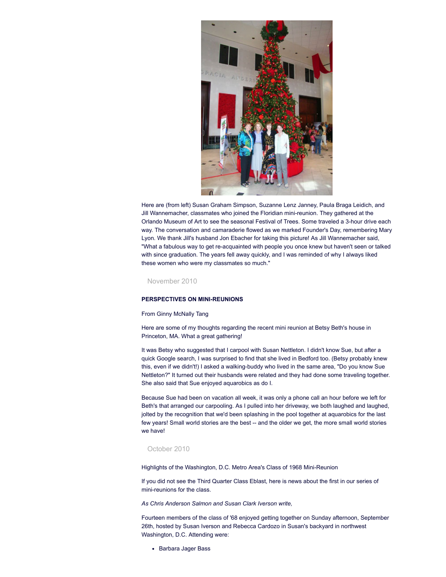

Here are (from left) Susan Graham Simpson, Suzanne Lenz Janney, Paula Braga Leidich, and Jill Wannemacher, classmates who joined the Floridian mini-reunion. They gathered at the Orlando Museum of Art to see the seasonal Festival of Trees. Some traveled a 3-hour drive each way. The conversation and camaraderie flowed as we marked Founder's Day, remembering Mary Lyon. We thank Jill's husband Jon Ebacher for taking this picture! As Jill Wannemacher said, "What a fabulous way to get re-acquainted with people you once knew but haven't seen or talked with since graduation. The years fell away quickly, and I was reminded of why I always liked these women who were my classmates so much."

November 2010

# **PERSPECTIVES ON MINI-REUNIONS**

#### From Ginny McNally Tang

Here are some of my thoughts regarding the recent mini reunion at Betsy Beth's house in Princeton, MA. What a great gathering!

It was Betsy who suggested that I carpool with Susan Nettleton. I didn't know Sue, but after a quick Google search, I was surprised to find that she lived in Bedford too. (Betsy probably knew this, even if we didn't!) I asked a walking-buddy who lived in the same area, "Do you know Sue Nettleton?" It turned out their husbands were related and they had done some traveling together. She also said that Sue enjoyed aquarobics as do I.

Because Sue had been on vacation all week, it was only a phone call an hour before we left for Beth's that arranged our carpooling. As I pulled into her driveway, we both laughed and laughed, jolted by the recognition that we'd been splashing in the pool together at aquarobics for the last few years! Small world stories are the best -- and the older we get, the more small world stories we have!

# October 2010

Highlights of the Washington, D.C. Metro Area's Class of 1968 Mini-Reunion

If you did not see the Third Quarter Class Eblast, here is news about the first in our series of mini-reunions for the class.

*As Chris Anderson Salmon and Susan Clark Iverson write,*

Fourteen members of the class of '68 enjoyed getting together on Sunday afternoon, September 26th, hosted by Susan Iverson and Rebecca Cardozo in Susan's backyard in northwest Washington, D.C. Attending were:

• Barbara Jager Bass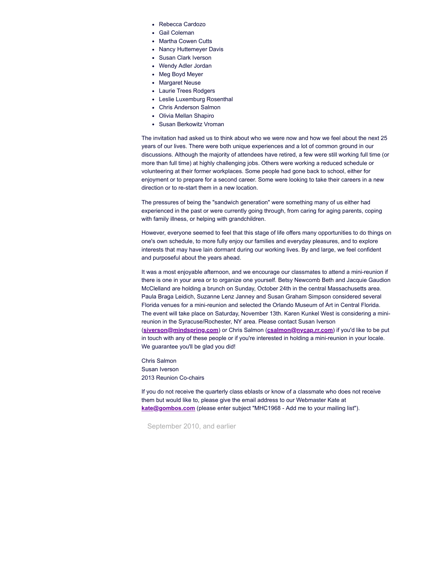- Rebecca Cardozo
- Gail Coleman
- Martha Cowen Cutts
- Nancy Huttemeyer Davis
- Susan Clark Iverson
- Wendy Adler Jordan
- Meg Boyd Meyer
- Margaret Neuse
- Laurie Trees Rodgers
- Leslie Luxemburg Rosenthal
- Chris Anderson Salmon
- Olivia Mellan Shapiro
- Susan Berkowitz Vroman

The invitation had asked us to think about who we were now and how we feel about the next 25 years of our lives. There were both unique experiences and a lot of common ground in our discussions. Although the majority of attendees have retired, a few were still working full time (or more than full time) at highly challenging jobs. Others were working a reduced schedule or volunteering at their former workplaces. Some people had gone back to school, either for enjoyment or to prepare for a second career. Some were looking to take their careers in a new direction or to re-start them in a new location.

The pressures of being the "sandwich generation" were something many of us either had experienced in the past or were currently going through, from caring for aging parents, coping with family illness, or helping with grandchildren.

However, everyone seemed to feel that this stage of life offers many opportunities to do things on one's own schedule, to more fully enjoy our families and everyday pleasures, and to explore interests that may have lain dormant during our working lives. By and large, we feel confident and purposeful about the years ahead.

It was a most enjoyable afternoon, and we encourage our classmates to attend a mini-reunion if there is one in your area or to organize one yourself. Betsy Newcomb Beth and Jacquie Gaudion McClelland are holding a brunch on Sunday, October 24th in the central Massachusetts area. Paula Braga Leidich, Suzanne Lenz Janney and Susan Graham Simpson considered several Florida venues for a mini-reunion and selected the Orlando Museum of Art in Central Florida. The event will take place on Saturday, November 13th. Karen Kunkel West is considering a minireunion in the Syracuse/Rochester, NY area. Please contact Susan Iverson (**[siverson@mindspring.com](mailto:siverson@mindspring.com)**) or Chris Salmon (**[csalmon@nycap.rr.com](mailto:csalmon@nycap.rr.com)**) if you'd like to be put in touch with any of these people or if you're interested in holding a mini-reunion in your locale. We guarantee you'll be glad you did!

Chris Salmon Susan Iverson 2013 Reunion Co-chairs

If you do not receive the quarterly class eblasts or know of a classmate who does not receive them but would like to, please give the email address to our Webmaster Kate at **[kate@gombos.com](mailto:kate@gombos.com?subject=%20MHC1968%20-%20Add%20me%20to%20your%20mailing%20list)** (please enter subject "MHC1968 - Add me to your mailing list").

September 2010, and earlier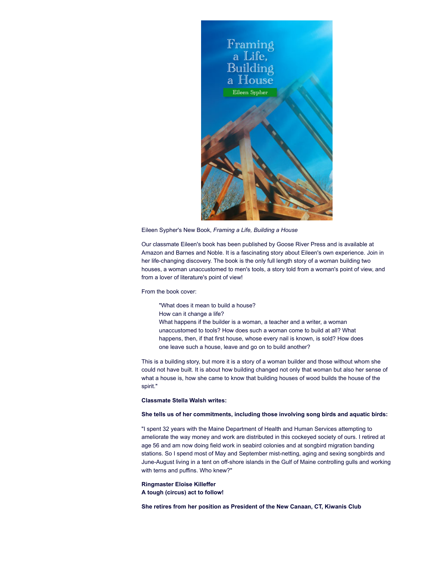

Eileen Sypher's New Book, *Framing a Life, Building a House*

Our classmate Eileen's book has been published by Goose River Press and is available at Amazon and Barnes and Noble. It is a fascinating story about Eileen's own experience. Join in her life-changing discovery. The book is the only full length story of a woman building two houses, a woman unaccustomed to men's tools, a story told from a woman's point of view, and from a lover of literature's point of view!

From the book cover:

"What does it mean to build a house?

How can it change a life?

What happens if the builder is a woman, a teacher and a writer, a woman unaccustomed to tools? How does such a woman come to build at all? What happens, then, if that first house, whose every nail is known, is sold? How does one leave such a house, leave and go on to build another?

This is a building story, but more it is a story of a woman builder and those without whom she could not have built. It is about how building changed not only that woman but also her sense of what a house is, how she came to know that building houses of wood builds the house of the spirit."

# **Classmate Stella Walsh writes:**

## **She tells us of her commitments, including those involving song birds and aquatic birds:**

"I spent 32 years with the Maine Department of Health and Human Services attempting to ameliorate the way money and work are distributed in this cockeyed society of ours. I retired at age 56 and am now doing field work in seabird colonies and at songbird migration banding stations. So I spend most of May and September mist-netting, aging and sexing songbirds and June-August living in a tent on off-shore islands in the Gulf of Maine controlling gulls and working with terns and puffins. Who knew?"

**Ringmaster Eloise Killeffer**

**A tough (circus) act to follow!**

**She retires from her position as President of the New Canaan, CT, Kiwanis Club**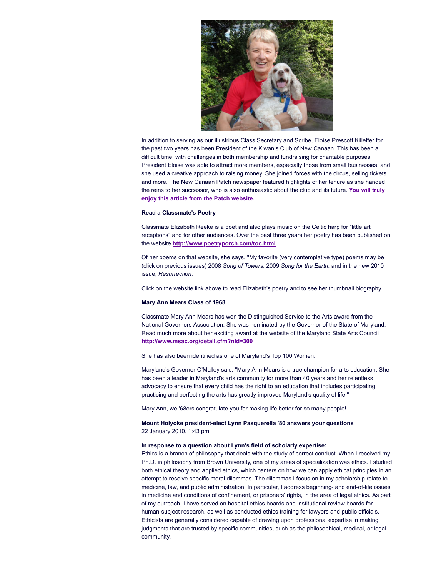

In addition to serving as our illustrious Class Secretary and Scribe, Eloise Prescott Killeffer for the past two years has been President of the Kiwanis Club of New Canaan. This has been a difficult time, with challenges in both membership and fundraising for charitable purposes. President Eloise was able to attract more members, especially those from small businesses, and she used a creative approach to raising money. She joined forces with the circus, selling tickets and more. The New Canaan Patch newspaper featured highlights of her tenure as she handed the reins to her successor, who is also [enthusiastic](http://newcanaan.patch.com/articles/eloise-killeffer-kiwanis-ringmaster-retires) about the club and its future. **You will truly enjoy this article from the Patch website.**

#### **Read a Classmate's Poetry**

Classmate Elizabeth Reeke is a poet and also plays music on the Celtic harp for "little art receptions" and for other audiences. Over the past three years her poetry has been published on the website **<http://www.poetryporch.com/toc.html>**

Of her poems on that website, she says, "My favorite (very contemplative type) poems may be (click on previous issues) 2008 *Song of Towers*; 2009 *Song for the Earth*, and in the new 2010 issue, *Resurrection*.

Click on the website link above to read Elizabeth's poetry and to see her thumbnail biography.

#### **Mary Ann Mears Class of 1968**

Classmate Mary Ann Mears has won the Distinguished Service to the Arts award from the National Governors Association. She was nominated by the Governor of the State of Maryland. Read much more about her exciting award at the website of the Maryland State Arts Council **<http://www.msac.org/detail.cfm?nid=300>**

She has also been identified as one of Maryland's Top 100 Women.

Maryland's Governor O'Malley said, "Mary Ann Mears is a true champion for arts education. She has been a leader in Maryland's arts community for more than 40 years and her relentless advocacy to ensure that every child has the right to an education that includes participating, practicing and perfecting the arts has greatly improved Maryland's quality of life."

Mary Ann, we '68ers congratulate you for making life better for so many people!

# **Mount Holyoke president-elect Lynn Pasquerella '80 answers your questions** 22 January 2010, 1:43 pm

#### **In response to a question about Lynn's field of scholarly expertise:**

Ethics is a branch of philosophy that deals with the study of correct conduct. When I received my Ph.D. in philosophy from Brown University, one of my areas of specialization was ethics. I studied both ethical theory and applied ethics, which centers on how we can apply ethical principles in an attempt to resolve specific moral dilemmas. The dilemmas I focus on in my scholarship relate to medicine, law, and public administration. In particular, I address beginning- and end-of-life issues in medicine and conditions of confinement, or prisoners' rights, in the area of legal ethics. As part of my outreach, I have served on hospital ethics boards and institutional review boards for human-subject research, as well as conducted ethics training for lawyers and public officials. Ethicists are generally considered capable of drawing upon professional expertise in making judgments that are trusted by specific communities, such as the philosophical, medical, or legal community.